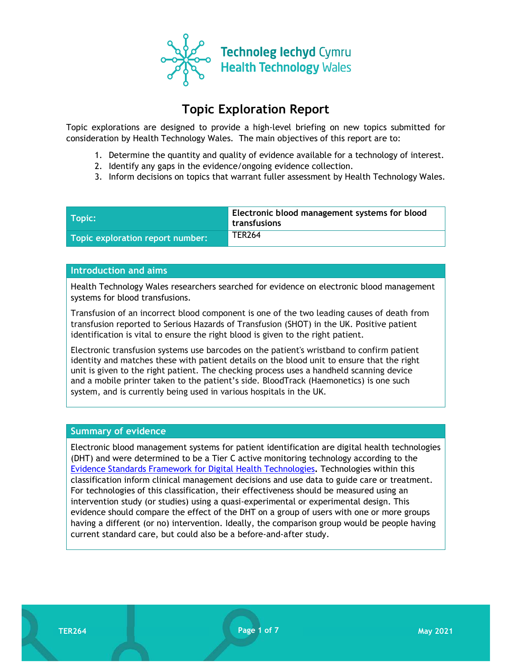

# Topic Exploration Report

Topic explorations are designed to provide a high-level briefing on new topics submitted for consideration by Health Technology Wales. The main objectives of this report are to:

- 1. Determine the quantity and quality of evidence available for a technology of interest.
- 2. Identify any gaps in the evidence/ongoing evidence collection.
- 3. Inform decisions on topics that warrant fuller assessment by Health Technology Wales.

| $\blacksquare$ Topic: $\blacksquare$ | Electronic blood management systems for blood<br>' transfusions |
|--------------------------------------|-----------------------------------------------------------------|
| Topic exploration report number:     | <b>TER264</b>                                                   |

### Introduction and aims

Health Technology Wales researchers searched for evidence on electronic blood management systems for blood transfusions.

Transfusion of an incorrect blood component is one of the two leading causes of death from transfusion reported to Serious Hazards of Transfusion (SHOT) in the UK. Positive patient identification is vital to ensure the right blood is given to the right patient.

Electronic transfusion systems use barcodes on the patient's wristband to confirm patient identity and matches these with patient details on the blood unit to ensure that the right unit is given to the right patient. The checking process uses a handheld scanning device and a mobile printer taken to the patient's side. BloodTrack (Haemonetics) is one such system, and is currently being used in various hospitals in the UK.

### Summary of evidence

Electronic blood management systems for patient identification are digital health technologies (DHT) and were determined to be a Tier C active monitoring technology according to the Evidence Standards Framework for Digital Health Technologies. Technologies within this classification inform clinical management decisions and use data to guide care or treatment. For technologies of this classification, their effectiveness should be measured using an intervention study (or studies) using a quasi-experimental or experimental design. This evidence should compare the effect of the DHT on a group of users with one or more groups having a different (or no) intervention. Ideally, the comparison group would be people having current standard care, but could also be a before-and-after study.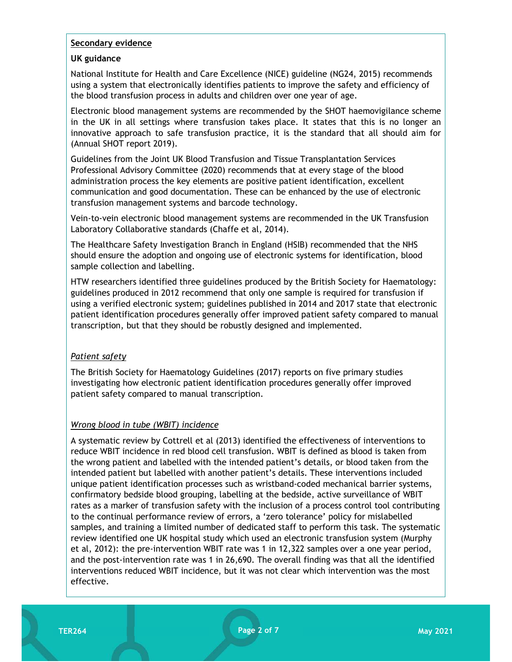#### Secondary evidence

### UK guidance

National Institute for Health and Care Excellence (NICE) guideline (NG24, 2015) recommends using a system that electronically identifies patients to improve the safety and efficiency of the blood transfusion process in adults and children over one year of age.

Electronic blood management systems are recommended by the SHOT haemovigilance scheme in the UK in all settings where transfusion takes place. It states that this is no longer an innovative approach to safe transfusion practice, it is the standard that all should aim for (Annual SHOT report 2019).

Guidelines from the Joint UK Blood Transfusion and Tissue Transplantation Services Professional Advisory Committee (2020) recommends that at every stage of the blood administration process the key elements are positive patient identification, excellent communication and good documentation. These can be enhanced by the use of electronic transfusion management systems and barcode technology.

Vein-to-vein electronic blood management systems are recommended in the UK Transfusion Laboratory Collaborative standards (Chaffe et al, 2014).

The Healthcare Safety Investigation Branch in England (HSIB) recommended that the NHS should ensure the adoption and ongoing use of electronic systems for identification, blood sample collection and labelling.

HTW researchers identified three guidelines produced by the British Society for Haematology: guidelines produced in 2012 recommend that only one sample is required for transfusion if using a verified electronic system; guidelines published in 2014 and 2017 state that electronic patient identification procedures generally offer improved patient safety compared to manual transcription, but that they should be robustly designed and implemented.

### Patient safety

The British Society for Haematology Guidelines (2017) reports on five primary studies investigating how electronic patient identification procedures generally offer improved patient safety compared to manual transcription.

### Wrong blood in tube (WBIT) incidence

A systematic review by Cottrell et al (2013) identified the effectiveness of interventions to reduce WBIT incidence in red blood cell transfusion. WBIT is defined as blood is taken from the wrong patient and labelled with the intended patient's details, or blood taken from the intended patient but labelled with another patient's details. These interventions included unique patient identification processes such as wristband-coded mechanical barrier systems, confirmatory bedside blood grouping, labelling at the bedside, active surveillance of WBIT rates as a marker of transfusion safety with the inclusion of a process control tool contributing to the continual performance review of errors, a 'zero tolerance' policy for mislabelled samples, and training a limited number of dedicated staff to perform this task. The systematic review identified one UK hospital study which used an electronic transfusion system (Murphy et al, 2012): the pre-intervention WBIT rate was 1 in 12,322 samples over a one year period, and the post-intervention rate was 1 in 26,690. The overall finding was that all the identified interventions reduced WBIT incidence, but it was not clear which intervention was the most effective.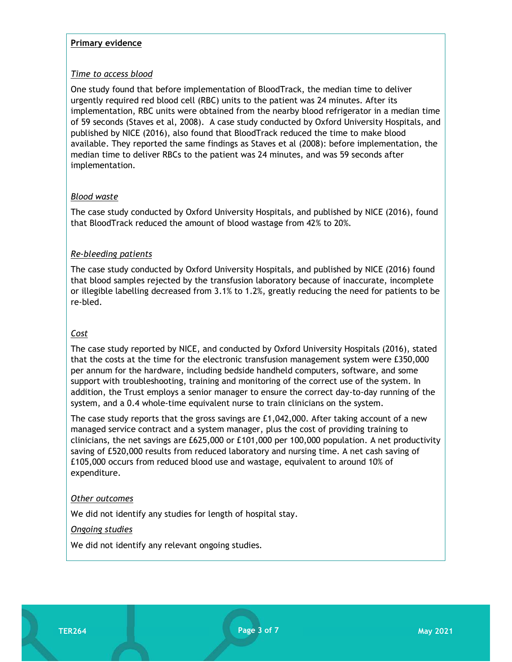#### Primary evidence

### Time to access blood

One study found that before implementation of BloodTrack, the median time to deliver urgently required red blood cell (RBC) units to the patient was 24 minutes. After its implementation, RBC units were obtained from the nearby blood refrigerator in a median time of 59 seconds (Staves et al, 2008). A case study conducted by Oxford University Hospitals, and published by NICE (2016), also found that BloodTrack reduced the time to make blood available. They reported the same findings as Staves et al (2008): before implementation, the median time to deliver RBCs to the patient was 24 minutes, and was 59 seconds after implementation.

### Blood waste

The case study conducted by Oxford University Hospitals, and published by NICE (2016), found that BloodTrack reduced the amount of blood wastage from 42% to 20%.

### Re-bleeding patients

The case study conducted by Oxford University Hospitals, and published by NICE (2016) found that blood samples rejected by the transfusion laboratory because of inaccurate, incomplete or illegible labelling decreased from 3.1% to 1.2%, greatly reducing the need for patients to be re-bled.

### Cost

The case study reported by NICE, and conducted by Oxford University Hospitals (2016), stated that the costs at the time for the electronic transfusion management system were £350,000 per annum for the hardware, including bedside handheld computers, software, and some support with troubleshooting, training and monitoring of the correct use of the system. In addition, the Trust employs a senior manager to ensure the correct day-to-day running of the system, and a 0.4 whole-time equivalent nurse to train clinicians on the system.

The case study reports that the gross savings are £1,042,000. After taking account of a new managed service contract and a system manager, plus the cost of providing training to clinicians, the net savings are £625,000 or £101,000 per 100,000 population. A net productivity saving of £520,000 results from reduced laboratory and nursing time. A net cash saving of £105,000 occurs from reduced blood use and wastage, equivalent to around 10% of expenditure.

### Other outcomes

We did not identify any studies for length of hospital stay.

### Ongoing studies

We did not identify any relevant ongoing studies.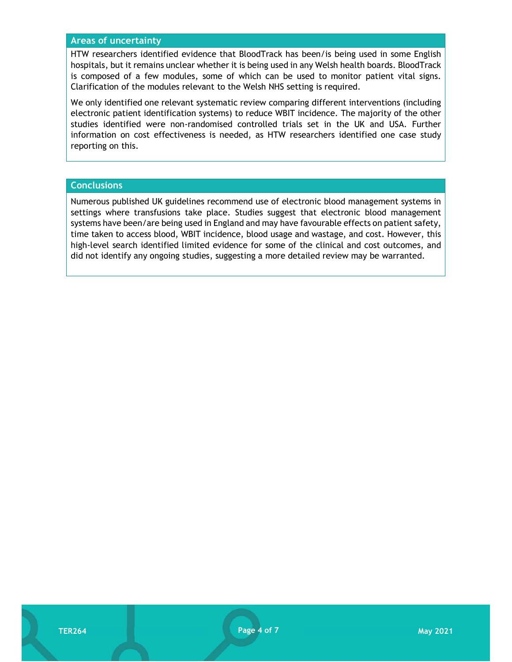#### Areas of uncertainty

HTW researchers identified evidence that BloodTrack has been/is being used in some English hospitals, but it remains unclear whether it is being used in any Welsh health boards. BloodTrack is composed of a few modules, some of which can be used to monitor patient vital signs. Clarification of the modules relevant to the Welsh NHS setting is required.

We only identified one relevant systematic review comparing different interventions (including electronic patient identification systems) to reduce WBIT incidence. The majority of the other studies identified were non-randomised controlled trials set in the UK and USA. Further information on cost effectiveness is needed, as HTW researchers identified one case study reporting on this.

#### **Conclusions**

Numerous published UK guidelines recommend use of electronic blood management systems in settings where transfusions take place. Studies suggest that electronic blood management systems have been/are being used in England and may have favourable effects on patient safety, time taken to access blood, WBIT incidence, blood usage and wastage, and cost. However, this high-level search identified limited evidence for some of the clinical and cost outcomes, and did not identify any ongoing studies, suggesting a more detailed review may be warranted.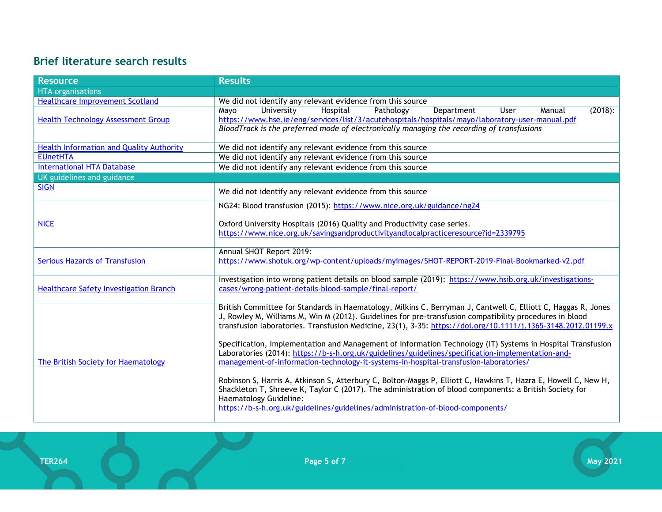## Brief literature search results

| <b>Resource</b>                                 | <b>Results</b>                                                                                                 |
|-------------------------------------------------|----------------------------------------------------------------------------------------------------------------|
| <b>HTA</b> organisations                        |                                                                                                                |
| <b>Healthcare Improvement Scotland</b>          | We did not identify any relevant evidence from this source                                                     |
|                                                 | University<br>Hospital<br>Pathology<br>Department<br>$(2018)$ :<br>Mayo<br>User<br>Manual                      |
| <b>Health Technology Assessment Group</b>       | https://www.hse.ie/eng/services/list/3/acutehospitals/hospitals/mayo/laboratory-user-manual.pdf                |
|                                                 | BloodTrack is the preferred mode of electronically managing the recording of transfusions                      |
| <b>Health Information and Quality Authority</b> | We did not identify any relevant evidence from this source                                                     |
| <b>EUnetHTA</b>                                 | We did not identify any relevant evidence from this source                                                     |
| <b>International HTA Database</b>               | We did not identify any relevant evidence from this source                                                     |
| UK guidelines and guidance                      |                                                                                                                |
| <b>SIGN</b>                                     |                                                                                                                |
|                                                 | We did not identify any relevant evidence from this source                                                     |
|                                                 | NG24: Blood transfusion (2015): https://www.nice.org.uk/guidance/ng24                                          |
|                                                 |                                                                                                                |
| <b>NICE</b>                                     | Oxford University Hospitals (2016) Quality and Productivity case series.                                       |
|                                                 | https://www.nice.org.uk/savingsandproductivityandlocalpracticeresource?id=2339795                              |
|                                                 | Annual SHOT Report 2019:                                                                                       |
| <b>Serious Hazards of Transfusion</b>           | https://www.shotuk.org/wp-content/uploads/myimages/SHOT-REPORT-2019-Final-Bookmarked-v2.pdf                    |
|                                                 |                                                                                                                |
|                                                 | Investigation into wrong patient details on blood sample (2019): https://www.hsib.org.uk/investigations-       |
| <b>Healthcare Safety Investigation Branch</b>   | cases/wrong-patient-details-blood-sample/final-report/                                                         |
|                                                 |                                                                                                                |
| The British Society for Haematology             | British Committee for Standards in Haematology, Milkins C, Berryman J, Cantwell C, Elliott C, Haggas R, Jones  |
|                                                 | J, Rowley M, Williams M, Win M (2012). Guidelines for pre-transfusion compatibility procedures in blood        |
|                                                 | transfusion laboratories. Transfusion Medicine, 23(1), 3-35: https://doi.org/10.1111/j.1365-3148.2012.01199.x  |
|                                                 | Specification, Implementation and Management of Information Technology (IT) Systems in Hospital Transfusion    |
|                                                 | Laboratories (2014): https://b-s-h.org.uk/guidelines/guidelines/specification-implementation-and-              |
|                                                 | management-of-information-technology-it-systems-in-hospital-transfusion-laboratories/                          |
|                                                 |                                                                                                                |
|                                                 | Robinson S, Harris A, Atkinson S, Atterbury C, Bolton-Maggs P, Elliott C, Hawkins T, Hazra E, Howell C, New H, |
|                                                 | Shackleton T, Shreeve K, Taylor C (2017). The administration of blood components: a British Society for        |
|                                                 | Haematology Guideline:                                                                                         |
|                                                 | https://b-s-h.org.uk/guidelines/guidelines/administration-of-blood-components/                                 |
|                                                 |                                                                                                                |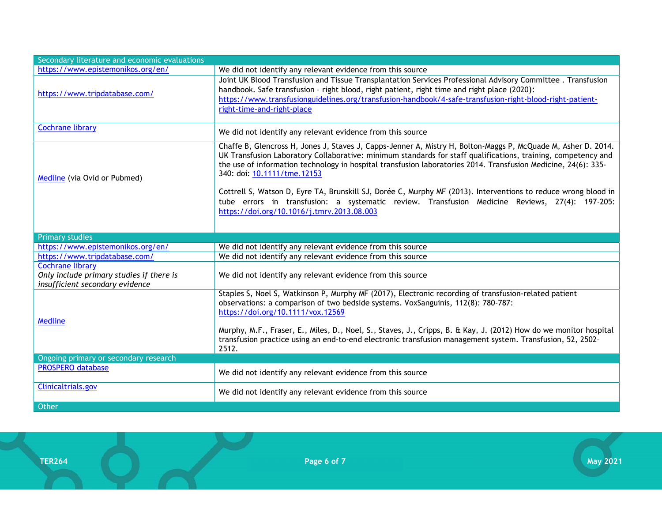| Secondary literature and economic evaluations                                                          |                                                                                                                                                                                                                                                                                                                                                                                                                                                                                                                                                                                                                                                   |
|--------------------------------------------------------------------------------------------------------|---------------------------------------------------------------------------------------------------------------------------------------------------------------------------------------------------------------------------------------------------------------------------------------------------------------------------------------------------------------------------------------------------------------------------------------------------------------------------------------------------------------------------------------------------------------------------------------------------------------------------------------------------|
| https://www.epistemonikos.org/en/                                                                      | We did not identify any relevant evidence from this source                                                                                                                                                                                                                                                                                                                                                                                                                                                                                                                                                                                        |
| https://www.tripdatabase.com/                                                                          | Joint UK Blood Transfusion and Tissue Transplantation Services Professional Advisory Committee. Transfusion<br>handbook. Safe transfusion - right blood, right patient, right time and right place (2020):<br>https://www.transfusionguidelines.org/transfusion-handbook/4-safe-transfusion-right-blood-right-patient-<br>right-time-and-right-place                                                                                                                                                                                                                                                                                              |
| <b>Cochrane library</b>                                                                                | We did not identify any relevant evidence from this source                                                                                                                                                                                                                                                                                                                                                                                                                                                                                                                                                                                        |
| Medline (via Ovid or Pubmed)                                                                           | Chaffe B, Glencross H, Jones J, Staves J, Capps-Jenner A, Mistry H, Bolton-Maggs P, McQuade M, Asher D. 2014.<br>UK Transfusion Laboratory Collaborative: minimum standards for staff qualifications, training, competency and<br>the use of information technology in hospital transfusion laboratories 2014. Transfusion Medicine, 24(6): 335-<br>340: doi: 10.1111/tme.12153<br>Cottrell S, Watson D, Eyre TA, Brunskill SJ, Dorée C, Murphy MF (2013). Interventions to reduce wrong blood in<br>tube errors in transfusion: a systematic review. Transfusion Medicine Reviews, 27(4): 197-205:<br>https://doi.org/10.1016/j.tmrv.2013.08.003 |
| <b>Primary studies</b>                                                                                 |                                                                                                                                                                                                                                                                                                                                                                                                                                                                                                                                                                                                                                                   |
| https://www.epistemonikos.org/en/                                                                      | We did not identify any relevant evidence from this source                                                                                                                                                                                                                                                                                                                                                                                                                                                                                                                                                                                        |
| https://www.tripdatabase.com/                                                                          | We did not identify any relevant evidence from this source                                                                                                                                                                                                                                                                                                                                                                                                                                                                                                                                                                                        |
| <b>Cochrane library</b><br>Only include primary studies if there is<br>insufficient secondary evidence | We did not identify any relevant evidence from this source                                                                                                                                                                                                                                                                                                                                                                                                                                                                                                                                                                                        |
| Medline                                                                                                | Staples S, Noel S, Watkinson P, Murphy MF (2017), Electronic recording of transfusion-related patient<br>observations: a comparison of two bedside systems. VoxSanguinis, 112(8): 780-787:<br>https://doi.org/10.1111/vox.12569<br>Murphy, M.F., Fraser, E., Miles, D., Noel, S., Staves, J., Cripps, B. & Kay, J. (2012) How do we monitor hospital<br>transfusion practice using an end-to-end electronic transfusion management system. Transfusion, 52, 2502-<br>2512.                                                                                                                                                                        |
| Ongoing primary or secondary research                                                                  |                                                                                                                                                                                                                                                                                                                                                                                                                                                                                                                                                                                                                                                   |
| <b>PROSPERO database</b>                                                                               | We did not identify any relevant evidence from this source                                                                                                                                                                                                                                                                                                                                                                                                                                                                                                                                                                                        |
| Clinicaltrials.gov                                                                                     | We did not identify any relevant evidence from this source                                                                                                                                                                                                                                                                                                                                                                                                                                                                                                                                                                                        |
| Other                                                                                                  |                                                                                                                                                                                                                                                                                                                                                                                                                                                                                                                                                                                                                                                   |